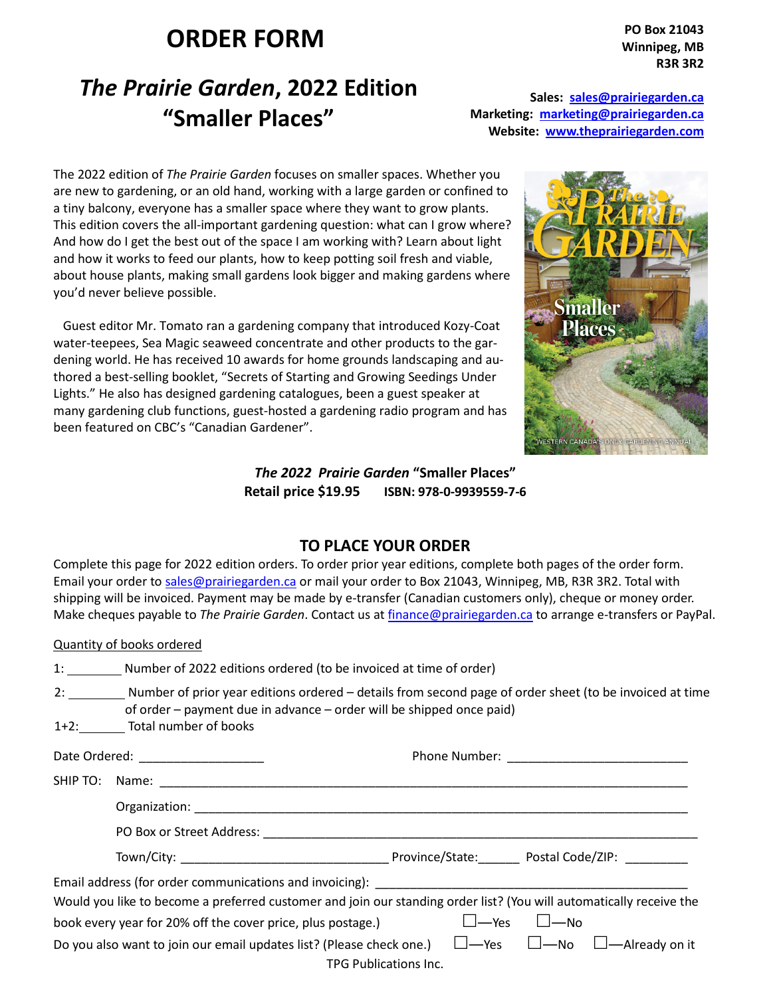## **ORDER FORM**

**PO Box 21043 Winnipeg, MB R3R 3R2** 

## *The Prairie Garden***, 2022 Edition "Smaller Places"**

**Sales: sales@prairiegarden.ca Marketing: marketing@prairiegarden.ca Website: www.theprairiegarden.com**

The 2022 edition of *The Prairie Garden* focuses on smaller spaces. Whether you are new to gardening, or an old hand, working with a large garden or confined to a tiny balcony, everyone has a smaller space where they want to grow plants. This edition covers the all-important gardening question: what can I grow where? And how do I get the best out of the space I am working with? Learn about light and how it works to feed our plants, how to keep potting soil fresh and viable, about house plants, making small gardens look bigger and making gardens where you'd never believe possible.

 Guest editor Mr. Tomato ran a gardening company that introduced Kozy-Coat water-teepees, Sea Magic seaweed concentrate and other products to the gardening world. He has received 10 awards for home grounds landscaping and authored a best-selling booklet, "Secrets of Starting and Growing Seedings Under Lights." He also has designed gardening catalogues, been a guest speaker at many gardening club functions, guest-hosted a gardening radio program and has been featured on CBC's "Canadian Gardener".



*The 2022 Prairie Garden* **"Smaller Places" Retail price \$19.95 ISBN: 978-0-9939559-7-6**

## **TO PLACE YOUR ORDER**

Complete this page for 2022 edition orders. To order prior year editions, complete both pages of the order form. Email your order to sales@prairiegarden.ca or mail your order to Box 21043, Winnipeg, MB, R3R 3R2. Total with shipping will be invoiced. Payment may be made by e-transfer (Canadian customers only), cheque or money order. Make cheques payable to *The Prairie Garden*. Contact us at finance@prairiegarden.ca to arrange e-transfers or PayPal.

|                                                                                                                     | <b>Quantity of books ordered</b>                                                                                                                                                                                               |  |  |  |  |  |  |
|---------------------------------------------------------------------------------------------------------------------|--------------------------------------------------------------------------------------------------------------------------------------------------------------------------------------------------------------------------------|--|--|--|--|--|--|
|                                                                                                                     | 1: _________ Number of 2022 editions ordered (to be invoiced at time of order)                                                                                                                                                 |  |  |  |  |  |  |
|                                                                                                                     | 2: Number of prior year editions ordered – details from second page of order sheet (to be invoiced at time<br>of order - payment due in advance - order will be shipped once paid)<br>1+2: Total number of books               |  |  |  |  |  |  |
|                                                                                                                     |                                                                                                                                                                                                                                |  |  |  |  |  |  |
|                                                                                                                     |                                                                                                                                                                                                                                |  |  |  |  |  |  |
|                                                                                                                     |                                                                                                                                                                                                                                |  |  |  |  |  |  |
|                                                                                                                     | PO Box or Street Address: Note that the contract of the contract of the contract of the contract of the contract of the contract of the contract of the contract of the contract of the contract of the contract of the contra |  |  |  |  |  |  |
|                                                                                                                     |                                                                                                                                                                                                                                |  |  |  |  |  |  |
|                                                                                                                     |                                                                                                                                                                                                                                |  |  |  |  |  |  |
| Would you like to become a preferred customer and join our standing order list? (You will automatically receive the |                                                                                                                                                                                                                                |  |  |  |  |  |  |
| book every year for 20% off the cover price, plus postage.)<br>$\Box$ $\rightarrow$ Yes $\Box$ $\rightarrow$ No     |                                                                                                                                                                                                                                |  |  |  |  |  |  |
| Do you also want to join our email updates list? (Please check one.) $\Box$ —Yes $\Box$ —No $\Box$ —Already on it   |                                                                                                                                                                                                                                |  |  |  |  |  |  |

TPG Publications Inc.